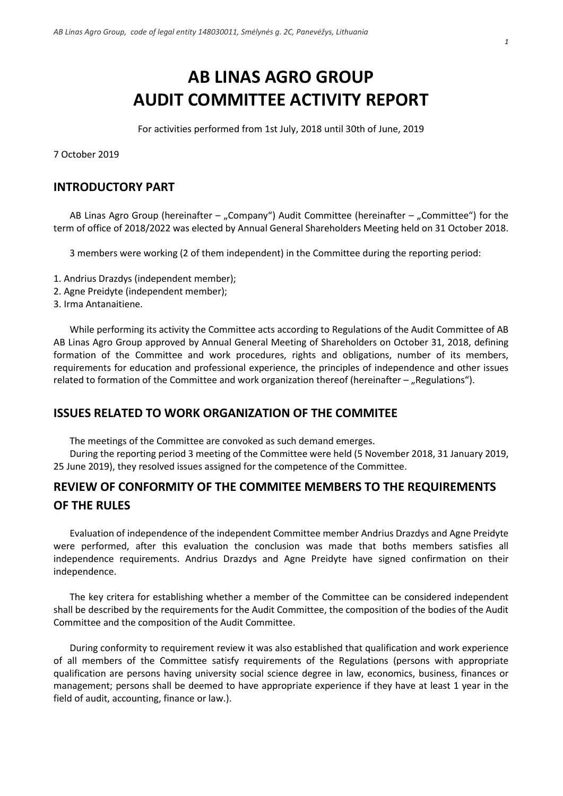# **AB LINAS AGRO GROUP AUDIT COMMITTEE ACTIVITY REPORT**

For activities performed from 1st July, 2018 until 30th of June, 2019

7 October 2019

## **INTRODUCTORY PART**

AB Linas Agro Group (hereinafter  $-$  "Company") Audit Committee (hereinafter  $-$  "Committee") for the term of office of 2018/2022 was elected by Annual General Shareholders Meeting held on 31 October 2018.

3 members were working (2 of them independent) in the Committee during the reporting period:

- 1. Andrius Drazdys (independent member);
- 2. Agne Preidyte (independent member);
- 3. Irma Antanaitiene.

While performing its activity the Committee acts according to Regulations of the Audit Committee of AB AB Linas Agro Group approved by Annual General Meeting of Shareholders on October 31, 2018, defining formation of the Committee and work procedures, rights and obligations, number of its members, requirements for education and professional experience, the principles of independence and other issues related to formation of the Committee and work organization thereof (hereinafter  $-$  "Regulations").

### **ISSUES RELATED TO WORK ORGANIZATION OF THE COMMITEE**

The meetings of the Committee are convoked as such demand emerges.

During the reporting period 3 meeting of the Committee were held (5 November 2018, 31 January 2019, 25 June 2019), they resolved issues assigned for the competence of the Committee.

# **REVIEW OF CONFORMITY OF THE COMMITEE MEMBERS TO THE REQUIREMENTS OF THE RULES**

Evaluation of independence of the independent Committee member Andrius Drazdys and Agne Preidyte were performed, after this evaluation the conclusion was made that boths members satisfies all independence requirements. Andrius Drazdys and Agne Preidyte have signed confirmation on their independence.

The key critera for establishing whether a member of the Committee can be considered independent shall be described by the requirements for the Audit Committee, the composition of the bodies of the Audit Committee and the composition of the Audit Committee.

During conformity to requirement review it was also established that qualification and work experience of all members of the Committee satisfy requirements of the Regulations (persons with appropriate qualification are persons having university social science degree in law, economics, business, finances or management; persons shall be deemed to have appropriate experience if they have at least 1 year in the field of audit, accounting, finance or law.).